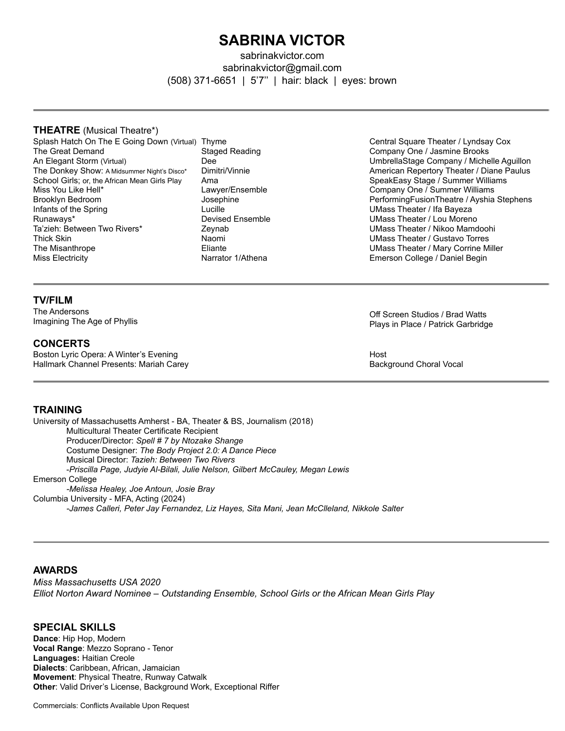# **SABRINA VICTOR**

sabrinakvictor.com sabrinakvictor@gmail.com (508) 371-6651 | 5'7'' | hair: black | eyes: brown

#### **THEATRE** (Musical Theatre\*)

- Splash Hatch On The E Going Down (Virtual) Thyme The Great Demand An Elegant Storm (Virtual) The Donkey Show: A Midsummer Night's Disco\* School Girls; or, the African Mean Girls Play Miss You Like Hell\* Brooklyn Bedroom Infants of the Spring Runaways\* Ta'zieh: Between Two Rivers\* Thick Skin The Misanthrope Miss Electricity
	- Staged Reading Dee Dimitri/Vinnie Ama Lawyer/Ensemble Josephine Lucille Devised Ensemble Zeynab Naomi Eliante Narrator 1/Athena

Central Square Theater / Lyndsay Cox Company One / Jasmine Brooks UmbrellaStage Company / Michelle Aguillon American Repertory Theater / Diane Paulus SpeakEasy Stage / Summer Williams Company One / Summer Williams PerformingFusionTheatre / Ayshia Stephens UMass Theater / Ifa Bayeza UMass Theater / Lou Moreno UMass Theater / Nikoo Mamdoohi UMass Theater / Gustavo Torres UMass Theater / Mary Corrine Miller Emerson College / Daniel Begin

## **TV/FILM**

The Andersons Imagining The Age of Phyllis

#### **CONCERTS**

Boston Lyric Opera: A Winter's Evening Hallmark Channel Presents: Mariah Carey Off Screen Studios / Brad Watts Plays in Place / Patrick Garbridge

Host Background Choral Vocal

### **TRAINING**

University of Massachusetts Amherst - BA, Theater & BS, Journalism (2018) Multicultural Theater Certificate Recipient Producer/Director: *Spell # 7 by Ntozake Shange* Costume Designer: *The Body Project 2.0: A Dance Piece* Musical Director: *Tazieh: Between Two Rivers* -*Priscilla Page, Judyie Al-Bilali, Julie Nelson, Gilbert McCauley, Megan Lewis* Emerson College *-Melissa Healey, Joe Antoun, Josie Bray* Columbia University - MFA, Acting (2024) *-James Calleri, Peter Jay Fernandez, Liz Hayes, Sita Mani, Jean McClleland, Nikkole Salter* 

#### **AWARDS**

*Miss Massachusetts USA 2020 Elliot Norton Award Nominee – Outstanding Ensemble, School Girls or the African Mean Girls Play*

## **SPECIAL SKILLS**

**Dance**: Hip Hop, Modern **Vocal Range**: Mezzo Soprano - Tenor **Languages:** Haitian Creole **Dialects**: Caribbean, African, Jamaician **Movement**: Physical Theatre, Runway Catwalk **Other**: Valid Driver's License, Background Work, Exceptional Riffer

Commercials: Conflicts Available Upon Request